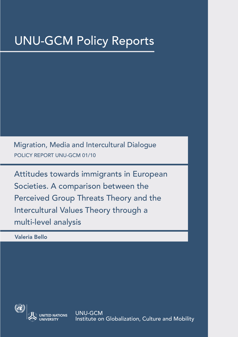# UNU-GCM Policy Reports

POLICY REPORT UNU-GCM 01/10 Migration, Media and Intercultural Dialogue

Attitudes towards immigrants in European Societies. A comparison between the Perceived Group Threats Theory and the Intercultural Values Theory through a multi-level analysis

Valeria Bello



UNU-GCM Institute on Globalization, Culture and Mobility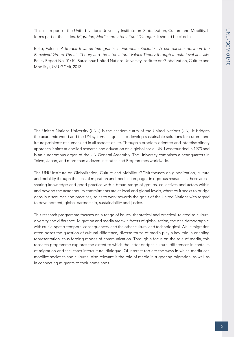This is a report of the United Nations University Institute on Globalization, Culture and Mobility. It forms part of the series, *Migration, Media and Intercultural Dialogue*. It should be cited as:

Bello, Valeria. *Attitudes towards immigrants in European Societies. A comparison between the Perceived Group Threats Theory and the Intercultural Values Theory through a multi-level analysis*. Policy Report No. 01/10. Barcelona: United Nations University Institute on Globalization, Culture and Mobility (UNU-GCM), 2013.

The United Nations University (UNU) is the academic arm of the United Nations (UN). It bridges the academic world and the UN system. Its goal is to develop sustainable solutions for current and future problems of humankind in all aspects of life. Through a problem-oriented and interdisciplinary approach it aims at applied research and education on a global scale. UNU was founded in 1973 and is an autonomous organ of the UN General Assembly. The University comprises a headquarters in Tokyo, Japan, and more than a dozen Institutes and Programmes worldwide.

The UNU Institute on Globalization, Culture and Mobility (GCM) focuses on globalization, culture and mobility through the lens of migration and media. It engages in rigorous research in these areas, sharing knowledge and good practice with a broad range of groups, collectives and actors within and beyond the academy. Its commitments are at local and global levels, whereby it seeks to bridge gaps in discourses and practices, so as to work towards the goals of the United Nations with regard to development, global partnership, sustainability and justice.

This research programme focuses on a range of issues, theoretical and practical, related to cultural diversity and difference. Migration and media are twin facets of globalization, the one demographic, with crucial spatio-temporal consequences, and the other cultural and technological. While migration often poses the question of cultural difference, diverse forms of media play a key role in enabling representation, thus forging modes of communication. Through a focus on the role of media, this research programme explores the extent to which the latter bridges cultural differences in contexts of migration and facilitates intercultural dialogue. Of interest too are the ways in which media can mobilize societies and cultures. Also relevant is the role of media in triggering migration, as well as in connecting migrants to their homelands.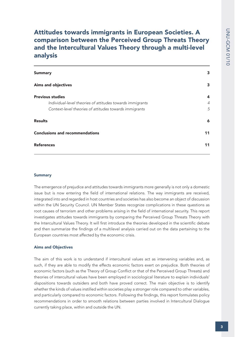# Attitudes towards immigrants in European Societies. A comparison between the Perceived Group Threats Theory and the Intercultural Values Theory through a multi-level analysis

| <b>Summary</b>                                            |    |
|-----------------------------------------------------------|----|
| <b>Aims and objectives</b>                                | 3  |
| <b>Previous studies</b>                                   | 4  |
| Individual-level theories of attitudes towards immigrants | 4  |
| Context-level theories of attitudes towards immigrants    | 5  |
| <b>Results</b>                                            | 6  |
| <b>Conclusions and recommendations</b>                    | 11 |
| <b>References</b>                                         | 11 |

#### **Summary**

The emergence of prejudice and attitudes towards immigrants more generally is not only a domestic issue but is now entering the field of international relations. The way immigrants are received, integrated into and regarded in host countries and societies has also become an object of discussion within the UN Security Council. UN Member States recognize complications in these questions as root causes of terrorism and other problems arising in the field of international security. This report investigates attitudes towards immigrants by comparing the Perceived Group Threats Theory with the Intercultural Values Theory. It will first introduce the theories developed in the scientific debate and then summarize the findings of a multilevel analysis carried out on the data pertaining to the European countries most affected by the economic crisis.

#### Aims and Objectives

The aim of this work is to understand if intercultural values act as intervening variables and, as such, if they are able to modify the effects economic factors exert on prejudice. Both theories of economic factors (such as the Theory of Group Conflict or that of the Perceived Group Threats) and theories of intercultural values have been employed in sociological literature to explain individuals' dispositions towards outsiders and both have proved correct. The main objective is to identify whether the kinds of values instilled within societies play a stronger role compared to other variables, and particularly compared to economic factors. Following the findings, this report formulates policy recommendations in order to smooth relations between parties involved in Intercultural Dialogue currently taking place, within and outside the UN.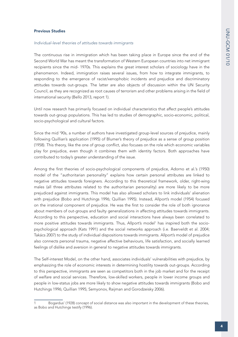#### Previous Studies

#### *Individual-level theories of attitudes towards immigrants*

The continuous rise in immigration which has been taking place in Europe since the end of the Second World War has meant the transformation of Western European countries into net immigrant recipients since the mid- 1970s. This explains the great interest scholars of sociology have in the phenomenon. Indeed, immigration raises several issues, from how to integrate immigrants, to responding to the emergence of racist/xenophobic incidents and prejudice and discriminatory attitudes towards out-groups. The latter are also objects of discussion within the UN Security Council, as they are recognized as root causes of terrorism and other problems arising in the field of international security (Bello 2013, report 1).

Until now research has primarily focused on individual characteristics that affect people's attitudes towards out-group populations. This has led to studies of demographic, socio-economic, political, socio-psychological and cultural factors.

Since the mid '90s, a number of authors have investigated group-level sources of prejudice, mainly following Quillian's application (1995) of Blumer's theory of prejudice as a sense of group position (1958). This theory, like the one of group conflict, also focuses on the role which economic variables play for prejudice, even though it combines them with identity factors. Both approaches have contributed to today's greater understanding of the issue.

Among the first theories of socio-psychological components of prejudice, Adorno et al.'s (1950) model of the "authoritarian personality" explains how certain personal attributes are linked to negative attitudes towards foreigners. According to this theoretical framework, older, right-wing males (all three attributes related to the authoritarian personality) are more likely to be more prejudiced against immigrants. This model has also allowed scholars to link individuals' alienation with prejudice (Bobo and Hutchings 1996; Quillian 1995). Instead, Allport's model (1954) focused on the irrational component of prejudice. He was the first to consider the role of both ignorance about members of out-groups and faulty generalizations in affecting attitudes towards immigrants. According to this perspective, education and social interactions have always been correlated to more positive attitudes towards immigrants. Thus, Allport's model<sup>1</sup> has inspired both the sociopsychological approach (Kats 1991) and the social networks approach (i.e. Baerveldt et al. 2004; Takács 2007) to the study of individual dispositions towards immigrants. Allport's model of prejudice also connects personal trauma, negative affective behaviours, life satisfaction, and socially learned feelings of dislike and aversion in general to negative attitudes towards immigrants.

The Self-interest Model, on the other hand, associates individuals' vulnerabilities with prejudice, by emphasizing the role of economic interests in determining hostility towards out-groups. According to this perspective, immigrants are seen as competitors both in the job market and for the receipt of welfare and social services. Therefore, low-skilled workers, people in lower income groups and people in low-status jobs are more likely to show negative attitudes towards immigrants (Bobo and Hutchings 1996; Quillian 1995; Semyonov, Raijman and Gorodzeisky 2006).

Bogardus' (1928) concept of social distance was also important in the development of these theories, as Bobo and Hutchings testify (1996).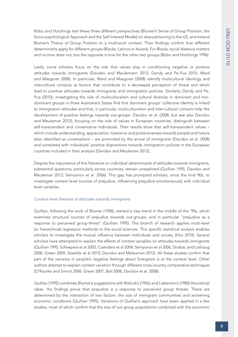Bobo and Hutchings test these three different perspectives (Blumer's Sense of Group Position; the Socio-psychological Approach and the Self-Interest Model) on data pertaining to the US, and extend Blumer's Theory of Group Position to a multiracial context. Their findings confirm that different determinants apply for different groups (Blacks, Latinos or Asians). For Blacks, social distance matters and income does not, but the opposite is true for the other two groups (Bobo and Hutchings 1996).

Lastly, some scholars focus on the role that values play in conditioning negative or positive attitudes towards immigrants (Davidov and Meulemann 2012; Dandy and Pe-Pua 2010; Ward and Masgoret 2008). In particular, Ward and Masgoret (2008) identify multicultural ideology and intercultural contacts as factors that contribute to a decreased perception of threat and which lead to positive attitudes towards immigrants and immigration policies. Similarly, Dandy and Pe-Pua (2010), investigating the role of multiculturalism and cultural diversity in dominant and nondominant groups in three Australians States find that dominant groups' collective identity is linked to immigration attitudes and that, in particular, multiculturalism and inter-cultural contacts help the development of positive feelings towards out-groups. Davidov *et al.* (2008, but see also Davidov and Meuleman 2012), focusing on the role of values in European countries, distinguish between self-transcendent and conservative individuals. Their results show that self-transcendent values – which include understanding, appreciation, tolerance and protectiveness towards people and nature (also identified as universalism) – are promoted by the arrival of immigrants (Davidov et al. 2008) and correlated with individuals' positive dispositions towards immigration policies in the European countries included in their analysis (Davidov and Meuleman 2012).

Despite the importance of this literature on individual determinants of attitudes towards immigrants, substantial questions, particularly across countries, remain unexplored (Quillian 1995, Davidov and Meuleman 2012; Semyonov et al. 2006). This gap has prompted scholars, since the mid-'90s, to investigate context level sources of prejudice, influencing prejudice simultaneously with individual level variables.

### *Context-level theories of attitudes towards immigrants*

Quillian, following the work of Blumer (1958), started a new trend in the middle of the '90s, which examines structural sources of prejudice towards out-groups, and in particular "prejudice as a response to perceived group-threat" (Quillian 1995). This branch of research applies multi-level (or hierarchical) regression methods to the social sciences. This specific statistical analysis enables scholars to investigate the mutual influence between individuals and society (Hox 2010). Several scholars have attempted to explain the effects of context variables on attitudes towards immigrants (Quillian 1995; Scheepers et al 2002; Coenders et al 2004; Semyonov et al 2006; Strabac and Listhaug 2008, Green 2009, Staerkle et al 2010, Davidov and Meleuman 2012). All these studies confirm that part of the variance in people's negative feelings about foreigners is at the context level. Other authors attempt to explain context variation through different cross-country comparative techniques (O'Rourke and Sinnot 2006; Green 2007, Bail 2008, Davidov et al. 2008).

Quillian (1995) combines Blumer's suggestions with Blalock's (1956) and Lieberson's (1980) theoretical ideas. His findings prove that prejudice is a response to perceived group threats. These are determined by the interaction of two factors: the size of immigrant communities and worsening economic conditions (Quillian 1995). Variations of Quillian's approach have been applied in a few studies, most of which confirm that the size of out-group populations combined with the economic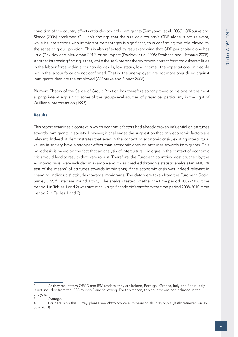condition of the country affects attitudes towards immigrants (Semyonov et al. 2006). O'Rourke and Sinnot (2006) confirmed Quillian's findings that the size of a country's GDP alone is not relevant, while its interactions with immigrant percentages is significant, thus confirming the role played by the sense of group position. This is also reflected by results showing that GDP per capita alone has little (Davidov and Meuleman 2012) or no impact (Davidov et al 2008; Strabach and Listhaug 2008). Another interesting finding is that, while the self-interest theory proves correct for most vulnerabilities in the labour force within a country (low-skills, low status, low income), the expectations on people not in the labour force are not confirmed. That is, the unemployed are not more prejudiced against immigrants than are the employed (O'Rourke and Sinnot 2006).

Blumer's Theory of the Sense of Group Position has therefore so far proved to be one of the most appropriate at explaining some of the group-level sources of prejudice, particularly in the light of Quillian's interpretation (1995).

### Results

This report examines a context in which economic factors had already proven influential on attitudes towards immigrants in society. However, it challenges the suggestion that only economic factors are relevant. Indeed, it demonstrates that even in the context of economic crisis, existing intercultural values in society have a stronger effect than economic ones on attitudes towards immigrants. This hypothesis is based on the fact that an analysis of intercultural dialogue in the context of economic crisis would lead to results that were robust. Therefore, the European countries most touched by the economic crisis<sup>2</sup> were included in a sample and it was checked through a statistic analysis (an ANOVA test of the means<sup>3</sup> of attitudes towards immigrants) if the economic crisis was indeed relevant in changing individuals' attitudes towards immigrants. The data were taken from the European Social Survey (ESS)<sup>4</sup> database (round 1 to 5). The analysis tested whether the time period 2002-2006 (time period 1 in Tables 1 and 2) was statistically significantly different from the time period 2008-2010 (time period 2 in Tables 1 and 2).

<sup>2</sup> As they result from OECD and IFM statiscs, they are Ireland, Portugal, Greece, Italy and Spain. Italy is not included from the ESS rounds 3 and following. For this reason, this country was not included in the analysis.

<sup>3</sup> Avarage.

<sup>4</sup> For details on this Surrey, please see <http://www.europeansocialsurvey.org/> (lastly retrieved on 05 July, 2013).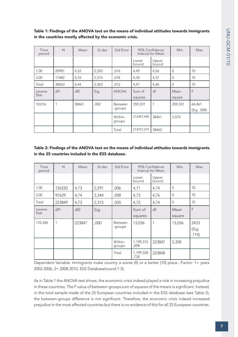| Time<br>period  | $\mathsf{N}$ | Mean            | St.dev | Std Error                 | 95% Confidence<br>Interval for Mean |                | Min.           | Max.                  |
|-----------------|--------------|-----------------|--------|---------------------------|-------------------------------------|----------------|----------------|-----------------------|
|                 |              |                 |        |                           | Lower<br>bound                      | Upper<br>bound |                |                       |
| 1,00            | 20981        | 4,52            | 2,350  | ,016                      | 4,49                                | 4,56           | 0              | 10                    |
| 2,00            | 17482        | 4,33            | 2,374  | ,018                      | 4,30                                | 4,37           | 0              | 10                    |
| Total           | 38463        | 4,44            | 2,363  | ,012                      | 4,41                                | 4,46           | $\overline{0}$ | 10                    |
| Levene<br>Stat. | df1          | df <sub>2</sub> | Sig.   | <b>ANOVA</b>              | Sum of<br>squares                   | df             | Mean<br>square | F                     |
| 10,016          |              | 38461           | ,002   | <b>Between</b><br>-groups | 359,331                             | 1              | 359,331        | 64,461<br>(Sig. .000) |
|                 |              |                 |        | Within-<br>groups         | 214397,948                          | 38461          | 5,574          |                       |
|                 |              |                 |        | Total                     | 214757,279                          | 38462          |                |                       |

Table 1: Findings of the ANOVA test on the means of individual attitudes towards immigrants in the countries mostly affected by the economic crisis.

# Table 2: Findings of the ANOVA test on the means of individual attitudes towards immigrants in the 25 countries included in the ESS database.

| Time<br>period  | $\mathsf{N}$ | Mean            | St.dev | <b>Std Error</b>          |                   | 95% Confidence<br>Interval for Mean | Min.           | Max.                   |
|-----------------|--------------|-----------------|--------|---------------------------|-------------------|-------------------------------------|----------------|------------------------|
|                 |              |                 |        |                           | Lower<br>bound    | Upper<br>bound                      |                |                        |
| 1,00            | 126220       | 4,73            | 2,291  | ,006                      | 4,71              | 4,74                                | $\Omega$       | 10                     |
| 2,00            | 97629        | 4,74            | 2,344  | ,008                      | 4,73              | 4,76                                | $\overline{0}$ | 10                     |
| Total           | 223849       | 4,73            | 2,315  | ,005                      | 4,72              | 4,74                                | $\Omega$       | 10                     |
| Levene<br>Stat. | df1          | df <sub>2</sub> | Sig.   |                           | Sum of<br>squares | df                                  | Mean<br>square | F                      |
| 110,346         |              | 223847          | ,000   | <b>Between</b><br>-groups | 13,036            | 1                                   | 13,036         | 2433<br>(Sig.<br>.119) |
|                 |              |                 |        | Within-<br>groups         | 1,199,315<br>,698 | 223847                              | 5,358          |                        |
|                 |              |                 |        | Total                     | 1,199,328<br>,734 | 223848                              |                |                        |

Dependent Variable: Immigrants make country a worse (0) or a better (10) place.. Factor: 1= years 2002-2006; 2= 2008-2010. ESS Database(round 1-5).

As in Table 1 the ANOVA test shows, the economic crisis indeed played a role in increasing prejudice in these countries. The F value of between-groups sum of squares of the means is significant. Instead, in the total sample made of the 25 European countries included in the ESS database (see Table 2), the between-groups difference is not significant. Therefore, the economic crisis indeed increased prejudice in the most affected countries but there is no evidence of this for all 25 European countries.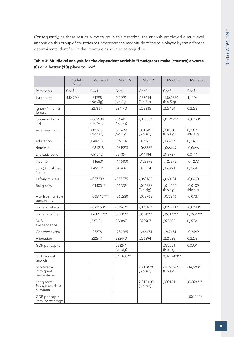Consequently, as these results allow to go in this direction, the analysis employed a multilevel analysis on this group of countries to understand the magnitude of the role played by the different determinants identified in the literature as sources of prejudice.

|                                          | Modelo<br>Nulo | Modelo 1               | Mod. 2a               | Mod. 2b               | Mod. 2c                  | Modelo 3              |
|------------------------------------------|----------------|------------------------|-----------------------|-----------------------|--------------------------|-----------------------|
| Parameter                                | Coef.          | Coef.                  | Coef.                 | Coef.                 | Coef.                    | Coef.                 |
| Intercept                                | $4,549***$     | $-0.31798$<br>(No Sig) | $-2,0299$<br>(No Sig) | ,185944<br>(No Sig)   | $-1,860830$<br>(No Sig)  | 4,1104                |
| [gndr=1 man; $2$<br>female]              |                | ,227867                | ,227140               | ,228835               | ,228454                  | 0,2289                |
| [trauma=1 si; 2<br>nol                   |                | $-062538$<br>(No Sig)  | $-06241$<br>(No sig)  | $-.07883*$            | $-079424*$               | $-0,0798*$            |
| Age (year born)                          |                | ,001688<br>(No Sig)    | ,001699<br>(No Sig)   | ,001345<br>(No sig)   | ,001380<br>(No sig)      | 0,0014<br>(No sig)    |
| education                                |                | ,040283                | ,039714               | ,037361               | ,036927                  | 0,0370                |
| domicile                                 |                | $-061218$              | $-061993$             | $-065637$             | $-066449$                | $-0,0666$             |
| Life satisfaction                        |                | ,051742                | ,051354               | ,044184               | ,043737                  | 0,0441                |
| Income                                   |                | $-116601$              | $-116400$             | $-128376$             | $-127372$                | $-0,1273$             |
| Job (0 no skilled;<br>4 elite]           |                | ,045199                | ,045437               | ,055214               | ,055491                  | 0,0554                |
| Left-right scale                         |                | $-057239$              | $-057375$             | $-0.060162$           | $-060131$                | $-0,0600$             |
| Religiosity                              |                | $-.014001*$            | $-0.01422*$           | $-011386$<br>(No sig) | $-011220$<br>(No sig)    | $-0,0109$<br>(No sig) |
| Authoritarian<br>personality             |                | $-.065113***$          | $-065230$             | $-073765$             | $-073816$                | $-0,0737$             |
| Social contacts                          |                | $-.021150*$            | $-.01967*$            | $-.02514*$            | $-0.024211*$             | $-0,0248*$            |
| Social activities                        |                | ,063981***             | ,0633***              | ,0654***              | ,06517***                | 0,0654***             |
| Self-<br>trascendence                    |                | ,337131                | ,336887               | ,378907               | ,378603                  | 0,3786                |
| Conservativism                           |                | $-233781$              | $-234265$             | $-246474$             | $-247451$                | $-0,2469$             |
| Alienation                               |                | ,222641                | ,222440               | ,226394               | ,226028                  | 0,2258                |
| GDP per capita                           |                |                        | ,068241<br>(No sig)   |                       | ,032051<br>(No sig)      | 0,0001                |
| GDP annual<br>growth                     |                |                        | $5,7E+00**$           |                       | $9,32E+00**$             |                       |
| Short-term<br>immigrant<br>percentages   |                |                        |                       | 2,212838<br>(No sig)  | $-10,506275$<br>(No sig) | $-14,588**$           |
| Long-term<br>foreign resident<br>numbers |                |                        |                       | 2,81E+00<br>(No sig)  | ,000161*                 | ,00024***             |
| GDP per cap *<br>imm. percentage         |                |                        |                       |                       |                          | ,001242*              |

| Table 3: Multilevel analysis for the dependent variable "Immigrants make [country] a worse |  |
|--------------------------------------------------------------------------------------------|--|
| (0) or a better (10) place to live".                                                       |  |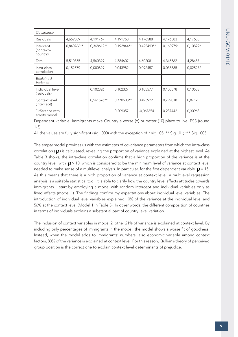| Covariance                         |            |               |              |             |           |            |
|------------------------------------|------------|---------------|--------------|-------------|-----------|------------|
| Residuals                          | 4,669589   | 4,191767      | 4,191763     | 4,176588    | 4,176583  | 4,17658    |
| Intercept<br>(context=<br>country) | 0,840766** | 0,368612**    | $0,192844**$ | 0,425493**  | 0,168979* | $0,10829*$ |
| Total                              | 5,510355   | 4,560379      | 4,384607     | 4,602081    | 4,345562  | 4,28487    |
| Intra-class<br>correlation         | 0,152579   | 0,080829      | 0,043982     | 0,092457    | 0,038885  | 0,025272   |
| Explained<br>Variance              |            |               |              |             |           |            |
| Individual level<br>(residuals)    |            | 0,102326      | 0,102327     | 0,105577    | 0,105578  | 0,10558    |
| Context level<br>(intercept)       |            | $0,561576***$ | 0,770633**   | 0,493922    | 0,799018  | 0,8712     |
| Difference with<br>empty model     |            |               | 0,209057     | $-0.067654$ | 0,237442  | 0,30963    |

Dependent variable: Immigrants make Country a worse (o) or better (10) place to live. ESS (round 1-5).

All the values are fully significant (sig. .000) with the exception of \* sig. .05; \*\* Sig. .01; \*\*\* Sig. .005

The empty model provides us with the estimates of covariance parameters from which the intra-class correlation ( $\rho$ ) is calculated, revealing the proportion of variance explained at the highest level. As Table 3 shows, the intra-class correlation confirms that a high proportion of the variance is at the country level, with  $\rho$  >.10, which is considered to be the minimum level of variance at context level needed to make sense of a multilevel analysis. In particular, for the first dependent variable  $\rho$  =.15. As this means that there is a high proportion of variance at context level, a multilevel regression analysis is a suitable statistical tool; it is able to clarify how the country level affects attitudes towards immigrants. I start by employing a model with random intercept and individual variables only as fixed effects (model 1). The findings confirm my expectations about individual level variables. The introduction of individual level variables explained 10% of the variance at the individual level and 56% at the context level (Model 1 in Table 3). In other words, the different composition of countries in terms of individuals explains a substantial part of country level variation.

The inclusion of context variables in model 2, other 21% of variance is explained at context level. By including only percentages of immigrants in the model, the model shows a worse fit of goodness. Instead, when the model adds to immigrants' numbers, also economic variable among context factors, 80% of the variance is explained at context level. For this reason, Qullian's theory of perceived group position is the correct one to explain context level determinants of prejudice.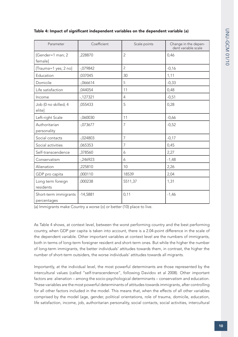| Parameter                            | Coefficient | Scale points   | Change in the depen-<br>dent variable scale |
|--------------------------------------|-------------|----------------|---------------------------------------------|
| [Gender=1 man; 2<br>female]          | ,228870     | $\overline{2}$ | 0,46                                        |
| [Trauma=1 yes; 2 no]                 | $-079842$   | $\overline{2}$ | $-0,16$                                     |
| Education                            | ,037045     | 30             | 1,11                                        |
| Domicile                             | $-066614$   | 5              | $-0,33$                                     |
| Life satisfaction                    | ,044054     | 11             | 0,48                                        |
| Income                               | $-127321$   | 4              | $-0,51$                                     |
| Job (0 no skilled; 4<br>elite]       | ,055433     | 5              | 0,28                                        |
| Left-right Scale                     | $-060030$   | 11             | $-0,66$                                     |
| Authoritarian<br>personality         | $-073677$   | 7              | $-0,52$                                     |
| Social contacts                      | $-024803$   | $\overline{7}$ | $-0,17$                                     |
| Social activities                    | ,065353     | $\overline{7}$ | 0,45                                        |
| Self-transcendence                   | ,378560     | 6              | 2,27                                        |
| Conservatism                         | $-246923$   | 6              | $-1,48$                                     |
| Alienation                           | ,225810     | 10             | 2,26                                        |
| GDP pro capita                       | ,000110     | 18539          | 2,04                                        |
| Long term foreign<br>residents       | ,000238     | 5511,37        | 1,31                                        |
| Short-term immigrants<br>percentages | $-14,5881$  | 0,11           | $-1,46$                                     |

## Table 4: Impact of significant independent variables on the dependent variable (a)

(a) Immigrants make Country a worse (o) or better (10) place to live.

As Table 4 shows, at context level, between the worst performing country and the best performing country, when GDP per capita is taken into account, there is a 2.04-point difference in the scale of the dependent variable. Other important variables at context level are the numbers of immigrants, both in terms of long-term foreigner resident and short-term ones. But while the higher the number of long-term immigrants, the better individuals' attitudes towards them, in contrast, the higher the number of short-term outsiders, the worse individuals' attitudes towards all migrants.

Importantly, at the individual level, the most powerful determinants are those represented by the intercultural values (called "self-transcendence", following Davidov et al 2008). Other important factors are: alienation – among the socio-psychological determinants – conservatism and education. These variables are the most powerful determinants of attitudes towards immigrants, after controlling for all other factors included in the model. This means that, when the effects of all other variables comprised by the model (age, gender, political orientations, role of trauma, domicile, education, life satisfaction, income, job, authoritarian personality, social contacts, social activities, intercultural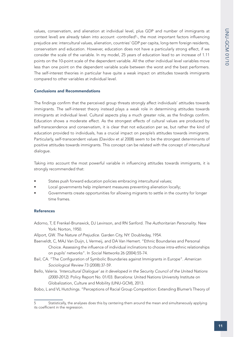values, conservatism, and alienation at individual level, plus GDP and number of immigrants at context level) are already taken into account -controlled<sup>5</sup>-, the most important factors influencing prejudice are: intercultural values, alienation, countries' GDP per capita, long-term foreign residents, conservatism and education. However, education does not have a particularly strong effect, if we consider the scale of the variable. In my model, 25 years of education lead to an increase of 1.11 points on the 10-point scale of the dependent variable. All the other individual level variables move less than one point on the dependent variable scale between the worst and the best performers. The self-interest theories in particular have quite a weak impact on attitudes towards immigrants compared to other variables at individual level.

#### Conclusions and Recommendations

The findings confirm that the perceived group threats strongly affect individuals' attitudes towards immigrants. The self-interest theory instead plays a weak role in determining attitudes towards immigrants at individual level. Cultural aspects play a much greater role, as the findings confirm. Education shows a moderate effect. As the strongest effects of cultural values are produced by self-transcendence and conservatism, it is clear that not education per se, but rather the kind of education provided to individuals, has a crucial impact on people's attitudes towards immigrants. Particularly, self-transcendent values (Davidov et al 2008) seem to be the strongest determinants of positive attitudes towards immigrants. This concept can be related with the concept of intercultural dialogue.

Taking into account the most powerful variable in influencing attitudes towards immigrants, it is strongly recommended that:

- States push forward education policies embracing intercultural values;
- Local governments help implement measures preventing alienation locally;
- Governments create opportunities for allowing migrants to settle in the country for longer time frames.

### References

- Adorno, T, E Frenkel-Brunswick, DJ Levinson, and RN Sanford. *The Authoritarian Personality*. New York: Norton, 1950.
- Allport, GW. *The Nature of Prejudice*. Garden City, NY: Doubleday, 1954.
- Baerveldt, C, MAJ Van Duijn, L Vermeij, and DA Van Hemert. "Ethnic Boundaries and Personal Choice. Assessing the influence of individual inclinations to choose intra-ethnic relationships on pupils' networks". In *Social Networks* 26 (2004):55-74.
- Bail, CA. "The Configuration of Symbolic Boundaries against Immigrants in Europe". *American Sociological Review* 73 (2008):37-59.
- Bello, Valeria. *'Intercultural Dialogue' as it developed in the Security Council of the United Nations (2000-2012)*. Policy Report No. 01/03. Barcelona: United Nations University Institute on Globalization, Culture and Mobility (UNU-GCM), 2013.
- Bobo, L and VL Hutchings. "Perceptions of Racial Group Competition: Extending Blumer's Theory of

<sup>5</sup> Statistically, the analyses does this by centering them around the mean and simultaneously applying its coefficient in the regression.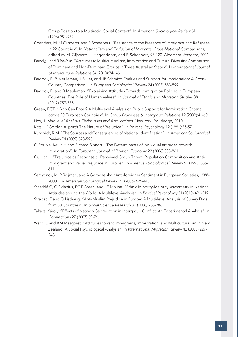Group Position to a Multiracial Social Context". In *American Sociological Review* 61 (1996):951-972.

- Coenders, M, M Gijsberts, and P Scheepers. "Resistance to the Presence of Immigrant and Refugees in 22 Countries". In *Nationalism and Exclusion of Migrants: Cross-National Comparisons*, edited by M. Gijsberts, L. Hagendoorn, and P. Scheepers, 97-120. Aldershot: Ashgate, 2004.
- Dandy, J and R Pe-Pua. "Attitudes to Multiculturalism, Immigration and Cultural Diversity: Comparison of Dominant and Non-Dominant Groups in Three Australian States". In *International Journal of Intercultural Relations* 34 (2010):34- 46.
- Davidov, E, B Meuleman, J Billiet, and JP Schmidt. "Values and Support for Immigration: A Cross-Country Comparison". In *European Sociological Review* 24 (2008):583-599.
- Davidov, E. and B Meuleman. "Explaining Attitudes Towards Immigration Policies in European Countries: The Role of Human Values". In *Journal of Ethnic and Migration Studies* 38 (2012):757-775.
- Green, EGT. "Who Can Enter? A Multi-level Analysis on Public Support for Immigration Criteria across 20 European Countries". In *Group Processes & Intergroup Relations* 12 (2009):41-60.
- Hox, J. *Multilevel Analysis. Techniques and Applications*. New York: Routledge, 2010.
- Kats, I. "Gordon Allport's The Nature of Prejudice". In Political Psychology 12 (1991):25-57.
- Kunovich, R.M. "The Sources and Consequences of National Identification". In *American Sociological Review* 74 (2009):573-593.
- O'Rourke, Kevin H and Richard Sinnott. "The Determinants of individual attitudes towards Immigration". In *European Journal of Political Econom*y 22 (2006):838-861.
- Quillian L. "Prejudice as Response to Perceived Group Threat: Population Composition and Anti-Immigrant and Racial Prejudice in Europe". In *American Sociological Review* 60 (1995):586- 611.
- Semyonov, M, R Raijman, and A Gorodzeisky. "Anti-foreigner Sentiment in European Societies, 1988- 2000". In *American Sociological Review* 71 (2006):426-448.
- Staerklé C, G Sidanius, EGT Green, and LE Molina. "Ethnic Minority-Majority Asymmetry in National Attitudes around the World: A Multilevel Analysis". In *Political Psychology* 31 (2010):491-519.
- Strabac, Z and O Listhaug. "Anti-Muslim Prejudice in Europe: A Multi-level Analysis of Survey Data from 30 Countries". In *Social Science Research* 37 (2008):268-286.
- Takács, Károly. "Effects of Network Segregation in Intergroup Conflict: An Experimental Analysis". In *Connections* 27 (2007):59-76.
- Ward, C and AM Masgoret. "Attitudes toward Immigrants, Immigration, and Multiculturalism in New Zealand: A Social Psychological Analysis". In *International Migration Review* 42 (2008):227- 248.